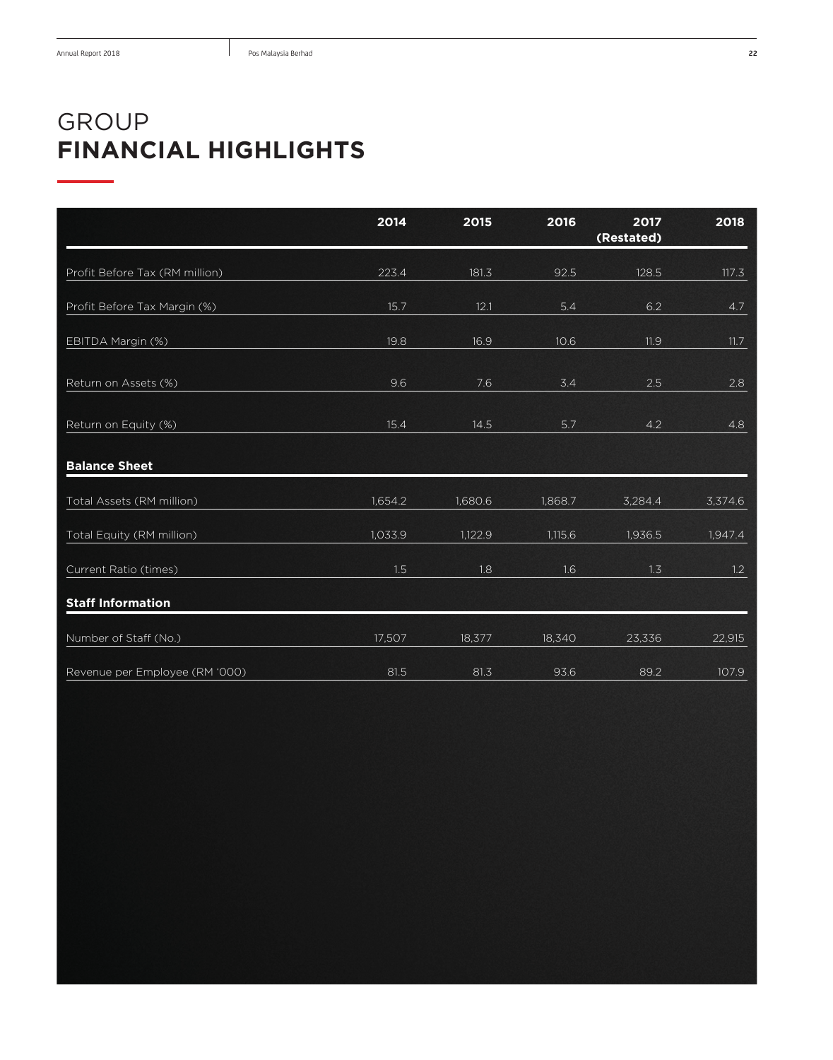## GROUP **FINANCIAL HIGHLIGHTS**

|                                | 2014    | 2015    | 2016    | 2017<br>(Restated) | 2018    |
|--------------------------------|---------|---------|---------|--------------------|---------|
| Profit Before Tax (RM million) | 223.4   | 181.3   | 92.5    | 128.5              | 117.3   |
| Profit Before Tax Margin (%)   | 15.7    | 12.1    | 5.4     | 6.2                | 4.7     |
| EBITDA Margin (%)              | 19.8    | 16.9    | 10.6    | 11.9               | 11.7    |
| Return on Assets (%)           | 9.6     | 7.6     | 3.4     | 2.5                | 2.8     |
| Return on Equity (%)           | 15.4    | 14.5    | 5.7     | 4.2                | 4.8     |
| <b>Balance Sheet</b>           |         |         |         |                    |         |
| Total Assets (RM million)      | 1,654.2 | 1,680.6 | 1,868.7 | 3,284.4            | 3,374.6 |
| Total Equity (RM million)      | 1,033.9 | 1,122.9 | 1,115.6 | 1,936.5            | 1,947.4 |
| Current Ratio (times)          | 1.5     | 1.8     | 1.6     | 1.3                | 1.2     |
| <b>Staff Information</b>       |         |         |         |                    |         |
| Number of Staff (No.)          | 17,507  | 18,377  | 18,340  | 23,336             | 22,915  |
| Revenue per Employee (RM '000) | 81.5    | 81.3    | 93.6    | 89.2               | 107.9   |